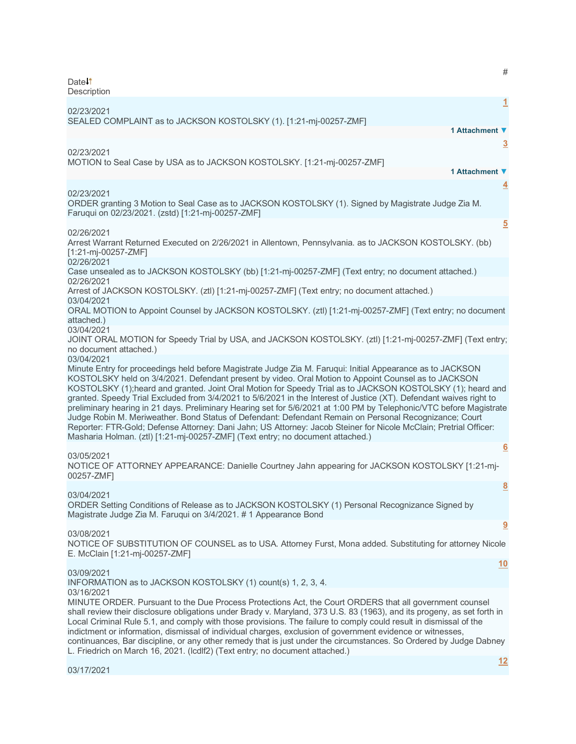| #<br>Date <sup>1</sup><br>Description                                                                                                                                                                                                                                                                                                                                                                                                                                                                                                                                                                                                                                                                                                                                                                                                                                                                          |
|----------------------------------------------------------------------------------------------------------------------------------------------------------------------------------------------------------------------------------------------------------------------------------------------------------------------------------------------------------------------------------------------------------------------------------------------------------------------------------------------------------------------------------------------------------------------------------------------------------------------------------------------------------------------------------------------------------------------------------------------------------------------------------------------------------------------------------------------------------------------------------------------------------------|
| 1<br>02/23/2021<br>SEALED COMPLAINT as to JACKSON KOSTOLSKY (1). [1:21-mj-00257-ZMF]                                                                                                                                                                                                                                                                                                                                                                                                                                                                                                                                                                                                                                                                                                                                                                                                                           |
| 1 Attachment ▼                                                                                                                                                                                                                                                                                                                                                                                                                                                                                                                                                                                                                                                                                                                                                                                                                                                                                                 |
| $\overline{3}$<br>02/23/2021<br>MOTION to Seal Case by USA as to JACKSON KOSTOLSKY. [1:21-mj-00257-ZMF]<br>1 Attachment ▼                                                                                                                                                                                                                                                                                                                                                                                                                                                                                                                                                                                                                                                                                                                                                                                      |
| 4<br>02/23/2021<br>ORDER granting 3 Motion to Seal Case as to JACKSON KOSTOLSKY (1). Signed by Magistrate Judge Zia M.<br>Faruqui on 02/23/2021. (zstd) [1:21-mj-00257-ZMF]                                                                                                                                                                                                                                                                                                                                                                                                                                                                                                                                                                                                                                                                                                                                    |
| $\overline{5}$<br>02/26/2021<br>Arrest Warrant Returned Executed on 2/26/2021 in Allentown, Pennsylvania. as to JACKSON KOSTOLSKY. (bb)<br>[1:21-mj-00257-ZMF]<br>02/26/2021                                                                                                                                                                                                                                                                                                                                                                                                                                                                                                                                                                                                                                                                                                                                   |
| Case unsealed as to JACKSON KOSTOLSKY (bb) [1:21-mj-00257-ZMF] (Text entry; no document attached.)<br>02/26/2021                                                                                                                                                                                                                                                                                                                                                                                                                                                                                                                                                                                                                                                                                                                                                                                               |
| Arrest of JACKSON KOSTOLSKY. (ztl) [1:21-mj-00257-ZMF] (Text entry; no document attached.)<br>03/04/2021                                                                                                                                                                                                                                                                                                                                                                                                                                                                                                                                                                                                                                                                                                                                                                                                       |
| ORAL MOTION to Appoint Counsel by JACKSON KOSTOLSKY. (ztl) [1:21-mj-00257-ZMF] (Text entry; no document<br>attached.)<br>03/04/2021                                                                                                                                                                                                                                                                                                                                                                                                                                                                                                                                                                                                                                                                                                                                                                            |
| JOINT ORAL MOTION for Speedy Trial by USA, and JACKSON KOSTOLSKY. (ztl) [1:21-mj-00257-ZMF] (Text entry;<br>no document attached.)                                                                                                                                                                                                                                                                                                                                                                                                                                                                                                                                                                                                                                                                                                                                                                             |
| 03/04/2021<br>Minute Entry for proceedings held before Magistrate Judge Zia M. Faruqui: Initial Appearance as to JACKSON<br>KOSTOLSKY held on 3/4/2021. Defendant present by video. Oral Motion to Appoint Counsel as to JACKSON<br>KOSTOLSKY (1); heard and granted. Joint Oral Motion for Speedy Trial as to JACKSON KOSTOLSKY (1); heard and<br>granted. Speedy Trial Excluded from 3/4/2021 to 5/6/2021 in the Interest of Justice (XT). Defendant waives right to<br>preliminary hearing in 21 days. Preliminary Hearing set for 5/6/2021 at 1:00 PM by Telephonic/VTC before Magistrate<br>Judge Robin M. Meriweather. Bond Status of Defendant: Defendant Remain on Personal Recognizance; Court<br>Reporter: FTR-Gold; Defense Attorney: Dani Jahn; US Attorney: Jacob Steiner for Nicole McClain; Pretrial Officer:<br>Masharia Holman. (ztl) [1:21-mj-00257-ZMF] (Text entry; no document attached.) |
| 6<br>03/05/2021<br>NOTICE OF ATTORNEY APPEARANCE: Danielle Courtney Jahn appearing for JACKSON KOSTOLSKY [1:21-mj-<br>00257-ZMF]                                                                                                                                                                                                                                                                                                                                                                                                                                                                                                                                                                                                                                                                                                                                                                               |
| $\underline{8}$<br>03/04/2021<br>ORDER Setting Conditions of Release as to JACKSON KOSTOLSKY (1) Personal Recognizance Signed by<br>Magistrate Judge Zia M. Faruqui on 3/4/2021. #1 Appearance Bond                                                                                                                                                                                                                                                                                                                                                                                                                                                                                                                                                                                                                                                                                                            |
| 9<br>03/08/2021<br>NOTICE OF SUBSTITUTION OF COUNSEL as to USA. Attorney Furst, Mona added. Substituting for attorney Nicole<br>E. McClain [1:21-mj-00257-ZMF]                                                                                                                                                                                                                                                                                                                                                                                                                                                                                                                                                                                                                                                                                                                                                 |
| <u>10</u><br>03/09/2021<br>INFORMATION as to JACKSON KOSTOLSKY (1) count(s) 1, 2, 3, 4.                                                                                                                                                                                                                                                                                                                                                                                                                                                                                                                                                                                                                                                                                                                                                                                                                        |
| 03/16/2021<br>MINUTE ORDER. Pursuant to the Due Process Protections Act, the Court ORDERS that all government counsel<br>shall review their disclosure obligations under Brady v. Maryland, 373 U.S. 83 (1963), and its progeny, as set forth in<br>Local Criminal Rule 5.1, and comply with those provisions. The failure to comply could result in dismissal of the<br>indictment or information, dismissal of individual charges, exclusion of government evidence or witnesses,<br>continuances, Bar discipline, or any other remedy that is just under the circumstances. So Ordered by Judge Dabney<br>L. Friedrich on March 16, 2021. (Icdlf2) (Text entry; no document attached.)                                                                                                                                                                                                                      |

**[12](javascript:void(0))**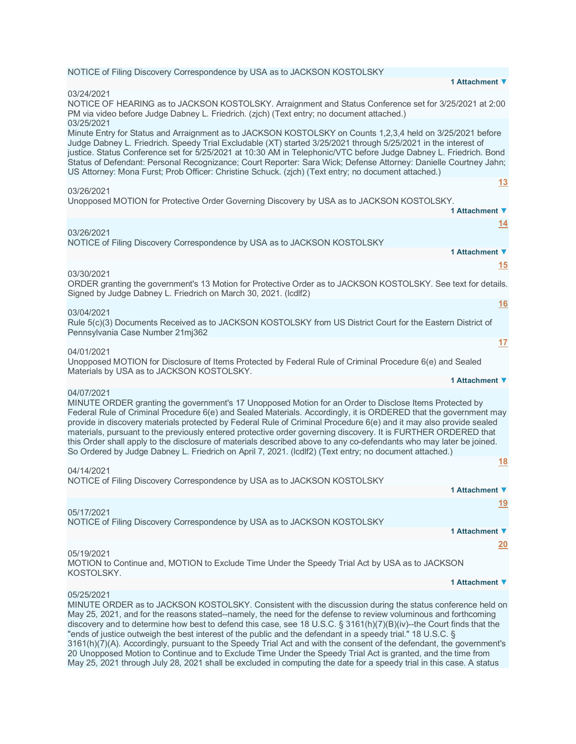# NOTICE of Filing Discovery Correspondence by USA as to JACKSON KOSTOLSKY

### 03/24/2021

NOTICE OF HEARING as to JACKSON KOSTOLSKY. Arraignment and Status Conference set for 3/25/2021 at 2:00 PM via video before Judge Dabney L. Friedrich. (zjch) (Text entry; no document attached.) 03/25/2021 Minute Entry for Status and Arraignment as to JACKSON KOSTOLSKY on Counts 1,2,3,4 held on 3/25/2021 before Judge Dabney L. Friedrich. Speedy Trial Excludable (XT) started 3/25/2021 through 5/25/2021 in the interest of justice. Status Conference set for 5/25/2021 at 10:30 AM in Telephonic/VTC before Judge Dabney L. Friedrich. Bond Status of Defendant: Personal Recognizance; Court Reporter: Sara Wick; Defense Attorney: Danielle Courtney Jahn; US Attorney: Mona Furst; Prob Officer: Christine Schuck. (zjch) (Text entry; no document attached.) **[13](javascript:void(0))** 03/26/2021 Unopposed MOTION for Protective Order Governing Discovery by USA as to JACKSON KOSTOLSKY. **1 Attachment ▼ [14](javascript:void(0))**

# 03/26/2021

NOTICE of Filing Discovery Correspondence by USA as to JACKSON KOSTOLSKY

03/30/2021

ORDER granting the government's 13 Motion for Protective Order as to JACKSON KOSTOLSKY. See text for details. Signed by Judge Dabney L. Friedrich on March 30, 2021. (lcdlf2)

# 03/04/2021

Rule 5(c)(3) Documents Received as to JACKSON KOSTOLSKY from US District Court for the Eastern District of Pennsylvania Case Number 21mj362

## 04/01/2021

Unopposed MOTION for Disclosure of Items Protected by Federal Rule of Criminal Procedure 6(e) and Sealed Materials by USA as to JACKSON KOSTOLSKY. **1 Attachment ▼**

# 04/07/2021

MINUTE ORDER granting the government's 17 Unopposed Motion for an Order to Disclose Items Protected by Federal Rule of Criminal Procedure 6(e) and Sealed Materials. Accordingly, it is ORDERED that the government may provide in discovery materials protected by Federal Rule of Criminal Procedure 6(e) and it may also provide sealed materials, pursuant to the previously entered protective order governing discovery. It is FURTHER ORDERED that this Order shall apply to the disclosure of materials described above to any co-defendants who may later be joined. So Ordered by Judge Dabney L. Friedrich on April 7, 2021. (lcdlf2) (Text entry; no document attached.)

#### 04/14/2021

NOTICE of Filing Discovery Correspondence by USA as to JACKSON KOSTOLSKY

# 05/17/2021

NOTICE of Filing Discovery Correspondence by USA as to JACKSON KOSTOLSKY

# 05/19/2021

MOTION to Continue and, MOTION to Exclude Time Under the Speedy Trial Act by USA as to JACKSON KOSTOLSKY.

#### **1 Attachment ▼**

**1 Attachment ▼**

**1 Attachment ▼**

**1 Attachment ▼**

**1 Attachment ▼**

**[15](javascript:void(0))**

**[16](javascript:void(0))**

**[17](javascript:void(0))**

**[18](javascript:void(0))**

**[19](javascript:void(0))**

**[20](javascript:void(0))**

# 05/25/2021

MINUTE ORDER as to JACKSON KOSTOLSKY. Consistent with the discussion during the status conference held on May 25, 2021, and for the reasons stated--namely, the need for the defense to review voluminous and forthcoming discovery and to determine how best to defend this case, see 18 U.S.C. § 3161(h)(7)(B)(iv)--the Court finds that the "ends of justice outweigh the best interest of the public and the defendant in a speedy trial." 18 U.S.C. § 3161(h)(7)(A). Accordingly, pursuant to the Speedy Trial Act and with the consent of the defendant, the government's 20 Unopposed Motion to Continue and to Exclude Time Under the Speedy Trial Act is granted, and the time from May 25, 2021 through July 28, 2021 shall be excluded in computing the date for a speedy trial in this case. A status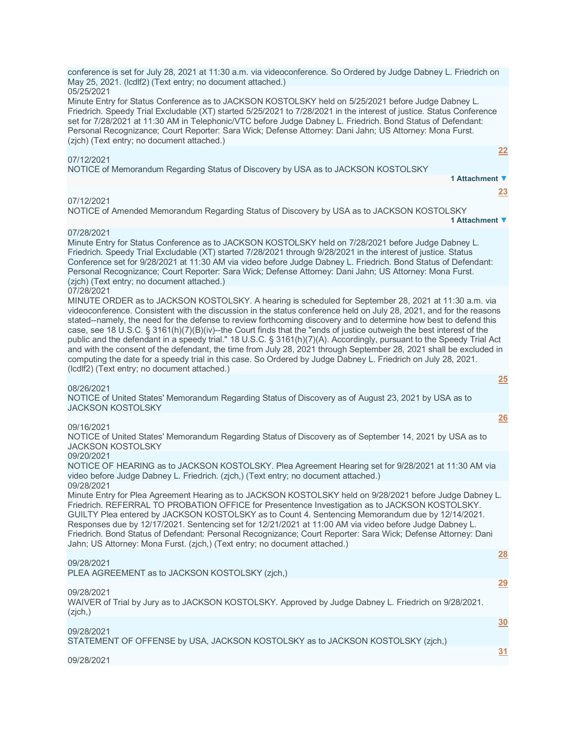| Minute Entry for Status Conference as to JACKSON KOSTOLSKY held on 5/25/2021 before Judge Dabney L.<br>Friedrich. Speedy Trial Excludable (XT) started 5/25/2021 to 7/28/2021 in the interest of justice. Status Conference<br>set for 7/28/2021 at 11:30 AM in Telephonic/VTC before Judge Dabney L. Friedrich. Bond Status of Defendant:<br>Personal Recognizance; Court Reporter: Sara Wick; Defense Attorney: Dani Jahn; US Attorney: Mona Furst.<br>(zich) (Text entry; no document attached.)                                                                                                                                                                                                                                                                                                                                                                                                     |           |
|---------------------------------------------------------------------------------------------------------------------------------------------------------------------------------------------------------------------------------------------------------------------------------------------------------------------------------------------------------------------------------------------------------------------------------------------------------------------------------------------------------------------------------------------------------------------------------------------------------------------------------------------------------------------------------------------------------------------------------------------------------------------------------------------------------------------------------------------------------------------------------------------------------|-----------|
| 07/12/2021                                                                                                                                                                                                                                                                                                                                                                                                                                                                                                                                                                                                                                                                                                                                                                                                                                                                                              | 22        |
| NOTICE of Memorandum Regarding Status of Discovery by USA as to JACKSON KOSTOLSKY                                                                                                                                                                                                                                                                                                                                                                                                                                                                                                                                                                                                                                                                                                                                                                                                                       |           |
| 1 Attachment ▼                                                                                                                                                                                                                                                                                                                                                                                                                                                                                                                                                                                                                                                                                                                                                                                                                                                                                          |           |
|                                                                                                                                                                                                                                                                                                                                                                                                                                                                                                                                                                                                                                                                                                                                                                                                                                                                                                         | <u>23</u> |
| 07/12/2021<br>NOTICE of Amended Memorandum Regarding Status of Discovery by USA as to JACKSON KOSTOLSKY<br>1 Attachment ▼                                                                                                                                                                                                                                                                                                                                                                                                                                                                                                                                                                                                                                                                                                                                                                               |           |
| 07/28/2021                                                                                                                                                                                                                                                                                                                                                                                                                                                                                                                                                                                                                                                                                                                                                                                                                                                                                              |           |
| Minute Entry for Status Conference as to JACKSON KOSTOLSKY held on 7/28/2021 before Judge Dabney L.<br>Friedrich. Speedy Trial Excludable (XT) started 7/28/2021 through 9/28/2021 in the interest of justice. Status<br>Conference set for 9/28/2021 at 11:30 AM via video before Judge Dabney L. Friedrich. Bond Status of Defendant:<br>Personal Recognizance; Court Reporter: Sara Wick; Defense Attorney: Dani Jahn; US Attorney: Mona Furst.<br>(zich) (Text entry; no document attached.)                                                                                                                                                                                                                                                                                                                                                                                                        |           |
| 07/28/2021<br>MINUTE ORDER as to JACKSON KOSTOLSKY. A hearing is scheduled for September 28, 2021 at 11:30 a.m. via<br>videoconference. Consistent with the discussion in the status conference held on July 28, 2021, and for the reasons<br>stated--namely, the need for the defense to review forthcoming discovery and to determine how best to defend this<br>case, see 18 U.S.C. § 3161(h)(7)(B)(iv)--the Court finds that the "ends of justice outweigh the best interest of the<br>public and the defendant in a speedy trial." 18 U.S.C. § 3161(h)(7)(A). Accordingly, pursuant to the Speedy Trial Act<br>and with the consent of the defendant, the time from July 28, 2021 through September 28, 2021 shall be excluded in<br>computing the date for a speedy trial in this case. So Ordered by Judge Dabney L. Friedrich on July 28, 2021.<br>(IcdIf2) (Text entry; no document attached.) |           |
|                                                                                                                                                                                                                                                                                                                                                                                                                                                                                                                                                                                                                                                                                                                                                                                                                                                                                                         | 25        |
| 08/26/2021<br>NOTICE of United States' Memorandum Regarding Status of Discovery as of August 23, 2021 by USA as to<br><b>JACKSON KOSTOLSKY</b>                                                                                                                                                                                                                                                                                                                                                                                                                                                                                                                                                                                                                                                                                                                                                          |           |
|                                                                                                                                                                                                                                                                                                                                                                                                                                                                                                                                                                                                                                                                                                                                                                                                                                                                                                         | 26        |
| 09/16/2021<br>NOTICE of United States' Memorandum Regarding Status of Discovery as of September 14, 2021 by USA as to<br><b>JACKSON KOSTOLSKY</b>                                                                                                                                                                                                                                                                                                                                                                                                                                                                                                                                                                                                                                                                                                                                                       |           |
| 09/20/2021<br>NOTICE OF HEARING as to JACKSON KOSTOLSKY. Plea Agreement Hearing set for 9/28/2021 at 11:30 AM via<br>video before Judge Dabney L. Friedrich. (zjch.) (Text entry; no document attached.)                                                                                                                                                                                                                                                                                                                                                                                                                                                                                                                                                                                                                                                                                                |           |
| 09/28/2021<br>Minute Entry for Plea Agreement Hearing as to JACKSON KOSTOLSKY held on 9/28/2021 before Judge Dabney L.<br>Friedrich. REFERRAL TO PROBATION OFFICE for Presentence Investigation as to JACKSON KOSTOLSKY.<br>GUILTY Plea entered by JACKSON KOSTOLSKY as to Count 4. Sentencing Memorandum due by 12/14/2021.<br>Responses due by 12/17/2021. Sentencing set for 12/21/2021 at 11:00 AM via video before Judge Dabney L.<br>Friedrich. Bond Status of Defendant: Personal Recognizance; Court Reporter: Sara Wick; Defense Attorney: Dani<br>Jahn; US Attorney: Mona Furst. (zjch,) (Text entry; no document attached.)                                                                                                                                                                                                                                                                  |           |
| 09/28/2021<br>PLEA AGREEMENT as to JACKSON KOSTOLSKY (zjch,)                                                                                                                                                                                                                                                                                                                                                                                                                                                                                                                                                                                                                                                                                                                                                                                                                                            | 28        |
| 09/28/2021<br>WAIVER of Trial by Jury as to JACKSON KOSTOLSKY. Approved by Judge Dabney L. Friedrich on 9/28/2021.<br>(zjch)                                                                                                                                                                                                                                                                                                                                                                                                                                                                                                                                                                                                                                                                                                                                                                            | 29        |
|                                                                                                                                                                                                                                                                                                                                                                                                                                                                                                                                                                                                                                                                                                                                                                                                                                                                                                         | 30        |
| 09/28/2021<br>STATEMENT OF OFFENSE by USA, JACKSON KOSTOLSKY as to JACKSON KOSTOLSKY (zjch.)                                                                                                                                                                                                                                                                                                                                                                                                                                                                                                                                                                                                                                                                                                                                                                                                            |           |
|                                                                                                                                                                                                                                                                                                                                                                                                                                                                                                                                                                                                                                                                                                                                                                                                                                                                                                         | 31        |
| 09/28/2021                                                                                                                                                                                                                                                                                                                                                                                                                                                                                                                                                                                                                                                                                                                                                                                                                                                                                              |           |

conference is set for July 28, 2021 at 11:30 a.m. via videoconference. So Ordered by Judge Dabney L. Friedrich on

May 25, 2021. (lcdlf2) (Text entry; no document attached.)

05/25/2021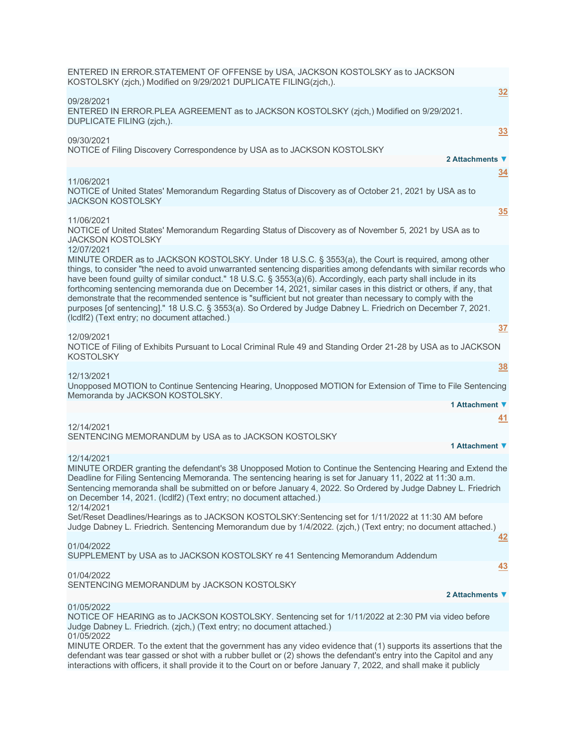| ENTERED IN ERROR.STATEMENT OF OFFENSE by USA, JACKSON KOSTOLSKY as to JACKSON<br>KOSTOLSKY (zjch,) Modified on 9/29/2021 DUPLICATE FILING(zjch,).                                                                                                                                                                                                                                                                                                                                                                                                                                                                                                                                                                                                               |
|-----------------------------------------------------------------------------------------------------------------------------------------------------------------------------------------------------------------------------------------------------------------------------------------------------------------------------------------------------------------------------------------------------------------------------------------------------------------------------------------------------------------------------------------------------------------------------------------------------------------------------------------------------------------------------------------------------------------------------------------------------------------|
| 32<br>09/28/2021<br>ENTERED IN ERROR.PLEA AGREEMENT as to JACKSON KOSTOLSKY (zjch,) Modified on 9/29/2021.<br>DUPLICATE FILING (zjch,).                                                                                                                                                                                                                                                                                                                                                                                                                                                                                                                                                                                                                         |
| 33<br>09/30/2021                                                                                                                                                                                                                                                                                                                                                                                                                                                                                                                                                                                                                                                                                                                                                |
| NOTICE of Filing Discovery Correspondence by USA as to JACKSON KOSTOLSKY<br>2 Attachments ▼                                                                                                                                                                                                                                                                                                                                                                                                                                                                                                                                                                                                                                                                     |
| $\overline{34}$<br>11/06/2021<br>NOTICE of United States' Memorandum Regarding Status of Discovery as of October 21, 2021 by USA as to<br><b>JACKSON KOSTOLSKY</b>                                                                                                                                                                                                                                                                                                                                                                                                                                                                                                                                                                                              |
| 35<br>11/06/2021<br>NOTICE of United States' Memorandum Regarding Status of Discovery as of November 5, 2021 by USA as to<br><b>JACKSON KOSTOLSKY</b>                                                                                                                                                                                                                                                                                                                                                                                                                                                                                                                                                                                                           |
| 12/07/2021<br>MINUTE ORDER as to JACKSON KOSTOLSKY. Under 18 U.S.C. § 3553(a), the Court is required, among other<br>things, to consider "the need to avoid unwarranted sentencing disparities among defendants with similar records who<br>have been found guilty of similar conduct." 18 U.S.C. § 3553(a)(6). Accordingly, each party shall include in its<br>forthcoming sentencing memoranda due on December 14, 2021, similar cases in this district or others, if any, that<br>demonstrate that the recommended sentence is "sufficient but not greater than necessary to comply with the<br>purposes [of sentencing]." 18 U.S.C. § 3553(a). So Ordered by Judge Dabney L. Friedrich on December 7, 2021.<br>(IcdIf2) (Text entry; no document attached.) |
| 37<br>12/09/2021                                                                                                                                                                                                                                                                                                                                                                                                                                                                                                                                                                                                                                                                                                                                                |
| NOTICE of Filing of Exhibits Pursuant to Local Criminal Rule 49 and Standing Order 21-28 by USA as to JACKSON<br>KOSTOLSKY                                                                                                                                                                                                                                                                                                                                                                                                                                                                                                                                                                                                                                      |
| 38<br>12/13/2021                                                                                                                                                                                                                                                                                                                                                                                                                                                                                                                                                                                                                                                                                                                                                |
| Unopposed MOTION to Continue Sentencing Hearing, Unopposed MOTION for Extension of Time to File Sentencing<br>Memoranda by JACKSON KOSTOLSKY.                                                                                                                                                                                                                                                                                                                                                                                                                                                                                                                                                                                                                   |
| 1 Attachment ▼                                                                                                                                                                                                                                                                                                                                                                                                                                                                                                                                                                                                                                                                                                                                                  |
| 41<br>12/14/2021<br>SENTENCING MEMORANDUM by USA as to JACKSON KOSTOLSKY                                                                                                                                                                                                                                                                                                                                                                                                                                                                                                                                                                                                                                                                                        |
| 1 Attachment ▼<br>12/14/2021                                                                                                                                                                                                                                                                                                                                                                                                                                                                                                                                                                                                                                                                                                                                    |
| MINUTE ORDER granting the defendant's 38 Unopposed Motion to Continue the Sentencing Hearing and Extend the<br>Deadline for Filing Sentencing Memoranda. The sentencing hearing is set for January 11, 2022 at 11:30 a.m.<br>Sentencing memoranda shall be submitted on or before January 4, 2022. So Ordered by Judge Dabney L. Friedrich<br>on December 14, 2021. (Icdlf2) (Text entry; no document attached.)                                                                                                                                                                                                                                                                                                                                                |
| 12/14/2021<br>Set/Reset Deadlines/Hearings as to JACKSON KOSTOLSKY:Sentencing set for 1/11/2022 at 11:30 AM before<br>Judge Dabney L. Friedrich. Sentencing Memorandum due by 1/4/2022. (zjch.) (Text entry; no document attached.)<br>42                                                                                                                                                                                                                                                                                                                                                                                                                                                                                                                       |
| 01/04/2022<br>SUPPLEMENT by USA as to JACKSON KOSTOLSKY re 41 Sentencing Memorandum Addendum                                                                                                                                                                                                                                                                                                                                                                                                                                                                                                                                                                                                                                                                    |
| <u>43</u>                                                                                                                                                                                                                                                                                                                                                                                                                                                                                                                                                                                                                                                                                                                                                       |
| 01/04/2022<br>SENTENCING MEMORANDUM by JACKSON KOSTOLSKY                                                                                                                                                                                                                                                                                                                                                                                                                                                                                                                                                                                                                                                                                                        |
| 2 Attachments ▼                                                                                                                                                                                                                                                                                                                                                                                                                                                                                                                                                                                                                                                                                                                                                 |
| 01/05/2022<br>NOTICE OF HEARING as to JACKSON KOSTOLSKY. Sentencing set for 1/11/2022 at 2:30 PM via video before<br>Judge Dabney L. Friedrich. (zjch,) (Text entry; no document attached.)                                                                                                                                                                                                                                                                                                                                                                                                                                                                                                                                                                     |
| 01/05/2022<br>MINILITE ORDER To the extent that the government has any video evidence that (1) supports its assertions that the                                                                                                                                                                                                                                                                                                                                                                                                                                                                                                                                                                                                                                 |

MINUTE ORDER. To the extent that the government has any video evidence that (1) supports its assertions that the defendant was tear gassed or shot with a rubber bullet or (2) shows the defendant's entry into the Capitol and any interactions with officers, it shall provide it to the Court on or before January 7, 2022, and shall make it publicly